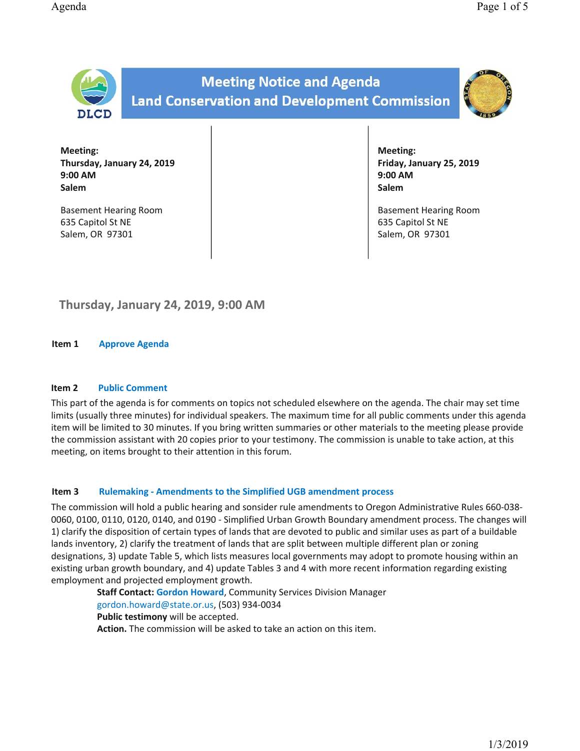

Meeting: Thursday, January 24, 2019 9:00 AM Salem

Basement Hearing Room 635 Capitol St NE Salem, OR 97301

Meeting: Friday, January 25, 2019 9:00 AM Salem

Basement Hearing Room 635 Capitol St NE Salem, OR 97301

# Thursday, January 24, 2019, 9:00 AM

Item 1 Approve Agenda

## Item 2 Public Comment

This part of the agenda is for comments on topics not scheduled elsewhere on the agenda. The chair may set time limits (usually three minutes) for individual speakers. The maximum time for all public comments under this agenda item will be limited to 30 minutes. If you bring written summaries or other materials to the meeting please provide the commission assistant with 20 copies prior to your testimony. The commission is unable to take action, at this meeting, on items brought to their attention in this forum.

## Item 3 Rulemaking - Amendments to the Simplified UGB amendment process

The commission will hold a public hearing and sonsider rule amendments to Oregon Administrative Rules 660-038-0060, 0100, 0110, 0120, 0140, and 0190 - Simplified Urban Growth Boundary amendment process. The changes will 1) clarify the disposition of certain types of lands that are devoted to public and similar uses as part of a buildable lands inventory, 2) clarify the treatment of lands that are split between multiple different plan or zoning designations, 3) update Table 5, which lists measures local governments may adopt to promote housing within an existing urban growth boundary, and 4) update Tables 3 and 4 with more recent information regarding existing employment and projected employment growth.

Staff Contact: Gordon Howard, Community Services Division Manager gordon.howard@state.or.us, (503) 934-0034 Public testimony will be accepted. Action. The commission will be asked to take an action on this item.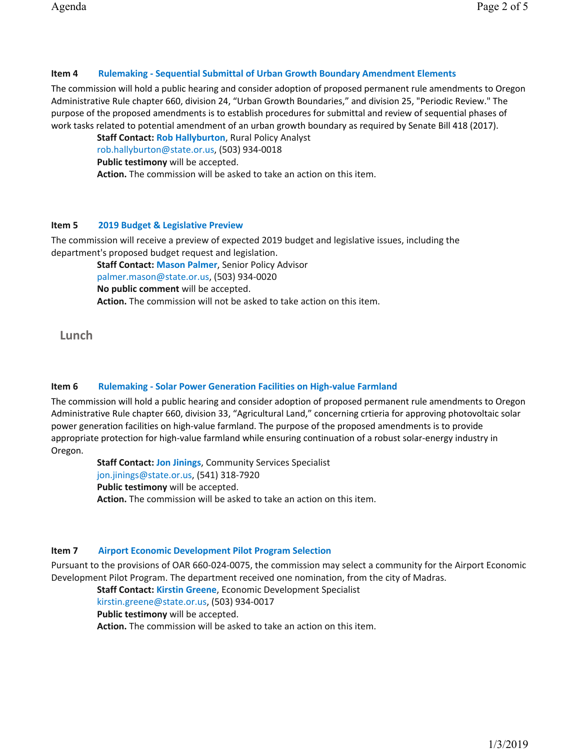# Item 4 Rulemaking - Sequential Submittal of Urban Growth Boundary Amendment Elements

The commission will hold a public hearing and consider adoption of proposed permanent rule amendments to Oregon Administrative Rule chapter 660, division 24, "Urban Growth Boundaries," and division 25, "Periodic Review." The purpose of the proposed amendments is to establish procedures for submittal and review of sequential phases of work tasks related to potential amendment of an urban growth boundary as required by Senate Bill 418 (2017).

Staff Contact: Rob Hallyburton, Rural Policy Analyst rob.hallyburton@state.or.us,(503)934-0018 Public testimony will be accepted. Action. The commission will be asked to take an action on this item.

# Item 5 2019 Budget & Legislative Preview

The commission will receive a preview of expected 2019 budget and legislative issues, including the department's proposed budget request and legislation.

Staff Contact: Mason Palmer, Senior Policy Advisor palmer.mason@state.or.us, (503) 934-0020 No public comment will be accepted. Action. The commission will not be asked to take action on this item.

Lunch

## Item 6 Rulemaking - Solar Power Generation Facilities on High-value Farmland

The commission will hold a public hearing and consider adoption of proposed permanent rule amendments to Oregon Administrative Rule chapter 660, division 33, "Agricultural Land," concerning crtieria for approving photovoltaic solar power generation facilities on high-value farmland. The purpose of the proposed amendments is to provide appropriate protection for high-value farmland while ensuring continuation of a robust solar-energy industry in Oregon.

Staff Contact: Jon Jinings, Community Services Specialist jon.jinings@state.or.us, (541) 318-7920 Public testimony will be accepted. Action. The commission will be asked to take an action on this item.

## Item 7 Airport Economic Development Pilot Program Selection

Pursuant to the provisions of OAR 660-024-0075, the commission may select a community for the Airport Economic Development Pilot Program. The department received one nomination, from the city of Madras.

Staff Contact: Kirstin Greene, Economic Development Specialist kirstin.greene@state.or.us, (503) 934-0017 Public testimony will be accepted. Action. The commission will be asked to take an action on this item.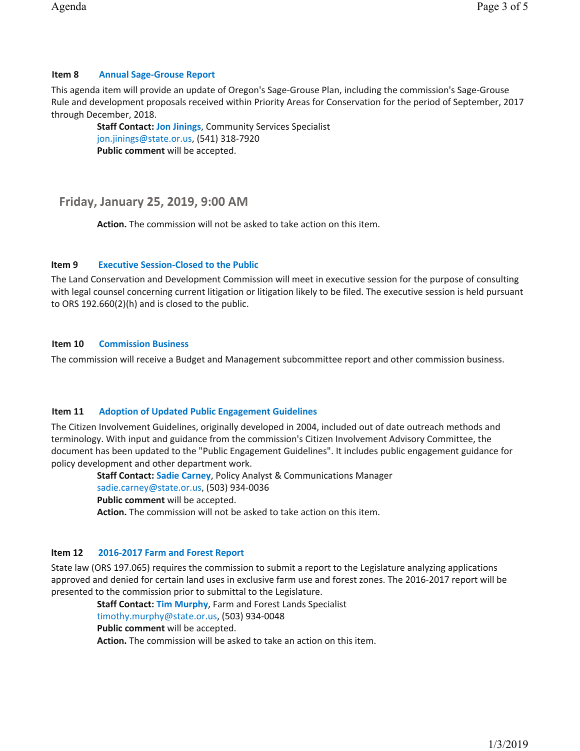# Item 8 Annual Sage-Grouse Report

This agenda item will provide an update of Oregon's Sage-Grouse Plan, including the commission's Sage-Grouse Rule and development proposals received within Priority Areas for Conservation for the period of September, 2017 through December, 2018.

Staff Contact: Jon Jinings, Community Services Specialist jon.jinings@state.or.us, (541) 318-7920 Public comment will be accepted.

# Friday, January 25, 2019, 9:00 AM

Action. The commission will not be asked to take action on this item.

# Item 9 Executive Session-Closed to the Public

The Land Conservation and Development Commission will meet in executive session for the purpose of consulting with legal counsel concerning current litigation or litigation likely to be filed. The executive session is held pursuant to ORS 192.660(2)(h) and is closed to the public.

# Item 10 Commission Business

The commission will receive a Budget and Management subcommittee report and other commission business.

# Item 11 Adoption of Updated Public Engagement Guidelines

The Citizen Involvement Guidelines, originally developed in 2004, included out of date outreach methods and terminology. With input and guidance from the commission's Citizen Involvement Advisory Committee, the document has been updated to the "Public Engagement Guidelines". It includes public engagement guidance for policy development and other department work.

Staff Contact: Sadie Carney, Policy Analyst & Communications Manager sadie.carney@state.or.us, (503) 934-0036 Public comment will be accepted. Action. The commission will not be asked to take action on this item.

# Item 12 2016-2017 Farm and Forest Report

State law (ORS 197.065) requires the commission to submit a report to the Legislature analyzing applications approved and denied for certain land uses in exclusive farm use and forest zones. The 2016-2017 report will be presented to the commission prior to submittal to the Legislature.

Staff Contact: Tim Murphy, Farm and Forest Lands Specialist timothy.murphy@state.or.us, (503) 934-0048 Public comment will be accepted. Action. The commission will be asked to take an action on this item.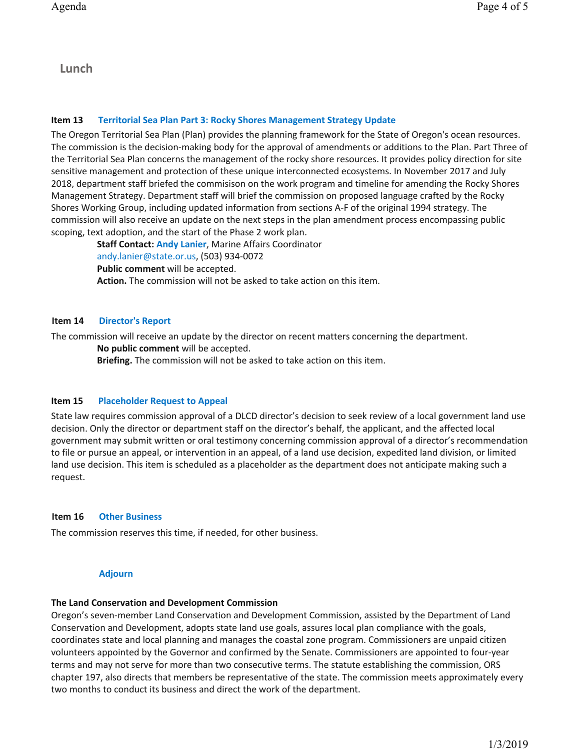Lunch

#### Item 13 Territorial Sea Plan Part 3: Rocky Shores Management Strategy Update

The Oregon Territorial Sea Plan (Plan) provides the planning framework for the State of Oregon's ocean resources. The commission is the decision-making body for the approval of amendments or additions to the Plan. Part Three of the Territorial Sea Plan concerns the management of the rocky shore resources. It provides policy direction for site sensitive management and protection of these unique interconnected ecosystems. In November 2017 and July 2018, department staff briefed the commisison on the work program and timeline for amending the Rocky Shores Management Strategy. Department staff will brief the commission on proposed language crafted by the Rocky Shores Working Group, including updated information from sections A-F of the original 1994 strategy. The commission will also receive an update on the next steps in the plan amendment process encompassing public scoping, text adoption, and the start of the Phase 2 work plan.

Staff Contact: Andy Lanier, Marine Affairs Coordinator andy.lanier@state.or.us, (503) 934-0072 Public comment will be accepted. Action. The commission will not be asked to take action on this item.

#### Item 14 Director's Report

The commission will receive an update by the director on recent matters concerning the department. No public comment will be accepted.

Briefing. The commission will not be asked to take action on this item.

#### Item 15 Placeholder Request to Appeal

State law requires commission approval of a DLCD director's decision to seek review of a local government land use decision. Only the director or department staff on the director's behalf, the applicant, and the affected local government may submit written or oral testimony concerning commission approval of a director's recommendation to file or pursue an appeal, or intervention in an appeal, of a land use decision, expedited land division, or limited land use decision. This item is scheduled as a placeholder as the department does not anticipate making such a request.

#### Item 16 Other Business

The commission reserves this time, if needed, for other business.

## Adjourn

## The Land Conservation and Development Commission

Oregon's seven-member Land Conservation and Development Commission, assisted by the Department of Land Conservation and Development, adopts state land use goals, assures local plan compliance with the goals, coordinates state and local planning and manages the coastal zone program. Commissioners are unpaid citizen volunteers appointed by the Governor and confirmed by the Senate. Commissioners are appointed to four-year terms and may not serve for more than two consecutive terms. The statute establishing the commission, ORS chapter 197, also directs that members be representative of the state. The commission meets approximately every two months to conduct its business and direct the work of the department.